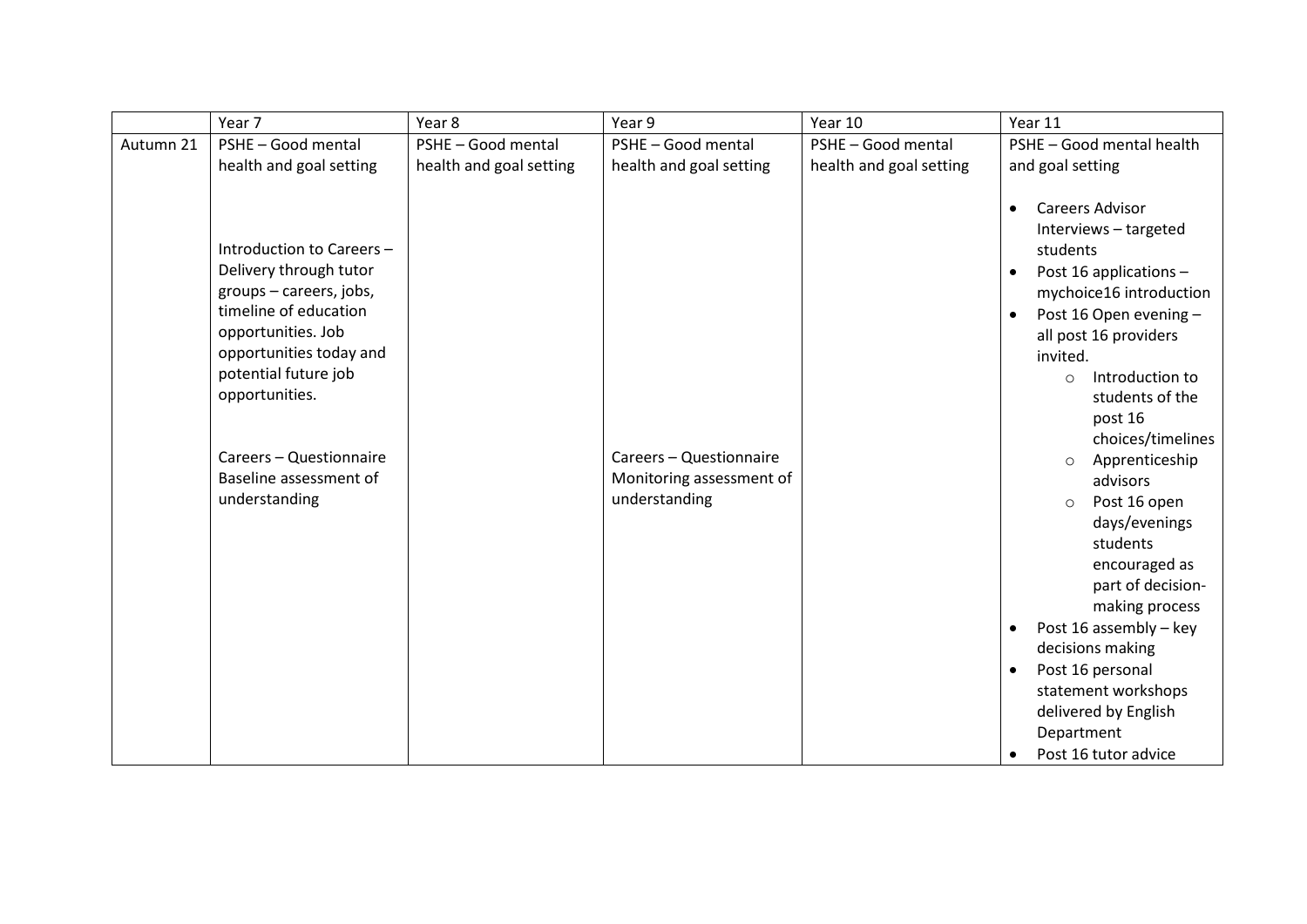|           | Year 7                                                                                                                                                                                                                                                                   | Year 8                  | Year 9                                                               | Year 10                 | Year 11                                                                                                                                                                                                                                                                                                                                                                                                                                                                                                                                                                                                                                     |
|-----------|--------------------------------------------------------------------------------------------------------------------------------------------------------------------------------------------------------------------------------------------------------------------------|-------------------------|----------------------------------------------------------------------|-------------------------|---------------------------------------------------------------------------------------------------------------------------------------------------------------------------------------------------------------------------------------------------------------------------------------------------------------------------------------------------------------------------------------------------------------------------------------------------------------------------------------------------------------------------------------------------------------------------------------------------------------------------------------------|
| Autumn 21 | PSHE - Good mental                                                                                                                                                                                                                                                       | PSHE - Good mental      | PSHE - Good mental                                                   | PSHE - Good mental      | PSHE - Good mental health                                                                                                                                                                                                                                                                                                                                                                                                                                                                                                                                                                                                                   |
|           | health and goal setting                                                                                                                                                                                                                                                  | health and goal setting | health and goal setting                                              | health and goal setting | and goal setting                                                                                                                                                                                                                                                                                                                                                                                                                                                                                                                                                                                                                            |
|           | Introduction to Careers -<br>Delivery through tutor<br>groups - careers, jobs,<br>timeline of education<br>opportunities. Job<br>opportunities today and<br>potential future job<br>opportunities.<br>Careers - Questionnaire<br>Baseline assessment of<br>understanding |                         | Careers - Questionnaire<br>Monitoring assessment of<br>understanding |                         | Careers Advisor<br>$\bullet$<br>Interviews - targeted<br>students<br>Post 16 applications -<br>$\bullet$<br>mychoice16 introduction<br>Post 16 Open evening -<br>$\bullet$<br>all post 16 providers<br>invited.<br>Introduction to<br>$\Omega$<br>students of the<br>post 16<br>choices/timelines<br>Apprenticeship<br>$\circ$<br>advisors<br>Post 16 open<br>$\circ$<br>days/evenings<br>students<br>encouraged as<br>part of decision-<br>making process<br>Post 16 assembly - key<br>$\bullet$<br>decisions making<br>Post 16 personal<br>$\bullet$<br>statement workshops<br>delivered by English<br>Department<br>Post 16 tutor advice |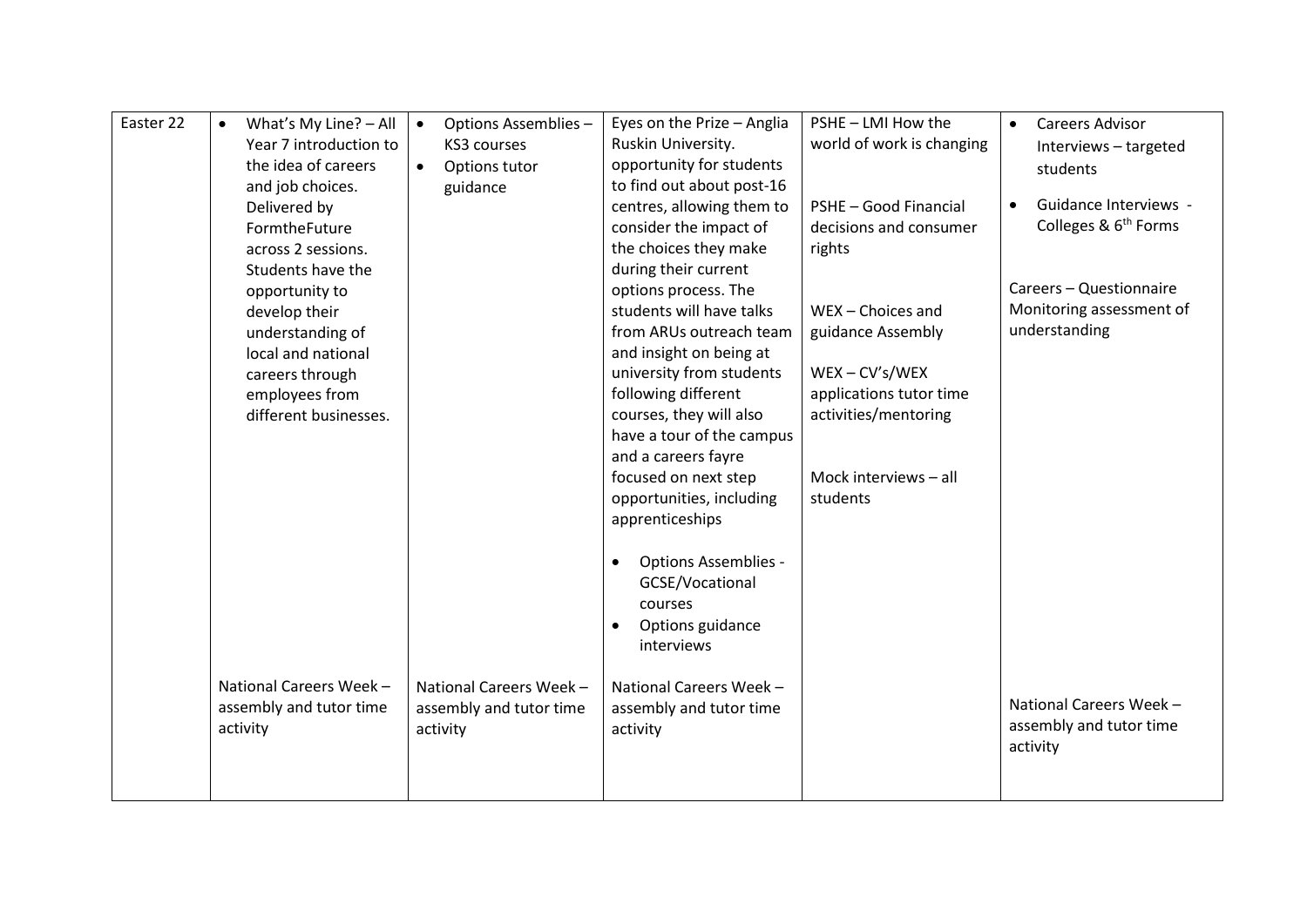| Easter 22 | What's My Line? - All<br>Year 7 introduction to<br>the idea of careers<br>and job choices.<br>Delivered by<br>FormtheFuture<br>across 2 sessions.<br>Students have the<br>opportunity to<br>develop their<br>understanding of<br>local and national<br>careers through<br>employees from<br>different businesses. | Options Assemblies -<br>$\bullet$<br>KS3 courses<br>Options tutor<br>$\bullet$<br>guidance | Eyes on the Prize - Anglia<br>Ruskin University.<br>opportunity for students<br>to find out about post-16<br>centres, allowing them to<br>consider the impact of<br>the choices they make<br>during their current<br>options process. The<br>students will have talks<br>from ARUs outreach team<br>and insight on being at<br>university from students<br>following different<br>courses, they will also<br>have a tour of the campus<br>and a careers fayre<br>focused on next step<br>opportunities, including<br>apprenticeships | PSHE - LMI How the<br>world of work is changing<br>PSHE - Good Financial<br>decisions and consumer<br>rights<br>WEX - Choices and<br>guidance Assembly<br>$WEX - CV's/WEX$<br>applications tutor time<br>activities/mentoring<br>Mock interviews - all<br>students | <b>Careers Advisor</b><br>$\bullet$<br>Interviews - targeted<br>students<br>Guidance Interviews -<br>Colleges & 6 <sup>th</sup> Forms<br>Careers - Questionnaire<br>Monitoring assessment of<br>understanding |
|-----------|-------------------------------------------------------------------------------------------------------------------------------------------------------------------------------------------------------------------------------------------------------------------------------------------------------------------|--------------------------------------------------------------------------------------------|--------------------------------------------------------------------------------------------------------------------------------------------------------------------------------------------------------------------------------------------------------------------------------------------------------------------------------------------------------------------------------------------------------------------------------------------------------------------------------------------------------------------------------------|--------------------------------------------------------------------------------------------------------------------------------------------------------------------------------------------------------------------------------------------------------------------|---------------------------------------------------------------------------------------------------------------------------------------------------------------------------------------------------------------|
|           | National Careers Week -<br>assembly and tutor time<br>activity                                                                                                                                                                                                                                                    | National Careers Week -<br>assembly and tutor time<br>activity                             | <b>Options Assemblies -</b><br>GCSE/Vocational<br>courses<br>Options guidance<br>interviews<br>National Careers Week -<br>assembly and tutor time<br>activity                                                                                                                                                                                                                                                                                                                                                                        |                                                                                                                                                                                                                                                                    | National Careers Week -<br>assembly and tutor time<br>activity                                                                                                                                                |